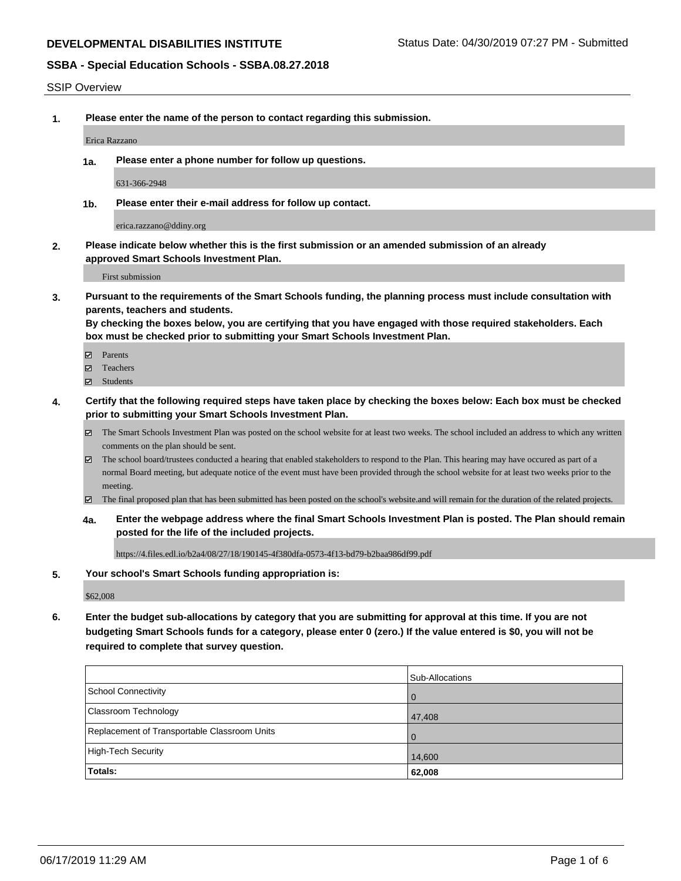#### SSIP Overview

**1. Please enter the name of the person to contact regarding this submission.**

Erica Razzano

**1a. Please enter a phone number for follow up questions.**

631-366-2948

**1b. Please enter their e-mail address for follow up contact.**

erica.razzano@ddiny.org

**2. Please indicate below whether this is the first submission or an amended submission of an already approved Smart Schools Investment Plan.**

First submission

**3. Pursuant to the requirements of the Smart Schools funding, the planning process must include consultation with parents, teachers and students.**

**By checking the boxes below, you are certifying that you have engaged with those required stakeholders. Each box must be checked prior to submitting your Smart Schools Investment Plan.**

- Parents
- Teachers
- Students
- **4. Certify that the following required steps have taken place by checking the boxes below: Each box must be checked prior to submitting your Smart Schools Investment Plan.**
	- The Smart Schools Investment Plan was posted on the school website for at least two weeks. The school included an address to which any written comments on the plan should be sent.
	- The school board/trustees conducted a hearing that enabled stakeholders to respond to the Plan. This hearing may have occured as part of a normal Board meeting, but adequate notice of the event must have been provided through the school website for at least two weeks prior to the meeting.
	- The final proposed plan that has been submitted has been posted on the school's website.and will remain for the duration of the related projects.
	- **4a. Enter the webpage address where the final Smart Schools Investment Plan is posted. The Plan should remain posted for the life of the included projects.**

https://4.files.edl.io/b2a4/08/27/18/190145-4f380dfa-0573-4f13-bd79-b2baa986df99.pdf

#### **5. Your school's Smart Schools funding appropriation is:**

\$62,008

**6. Enter the budget sub-allocations by category that you are submitting for approval at this time. If you are not budgeting Smart Schools funds for a category, please enter 0 (zero.) If the value entered is \$0, you will not be required to complete that survey question.**

|                                              | <b>Sub-Allocations</b> |
|----------------------------------------------|------------------------|
| School Connectivity                          | $\overline{0}$         |
| <b>Classroom Technology</b>                  | 47,408                 |
| Replacement of Transportable Classroom Units | $\overline{0}$         |
| High-Tech Security                           | 14,600                 |
| Totals:                                      | 62,008                 |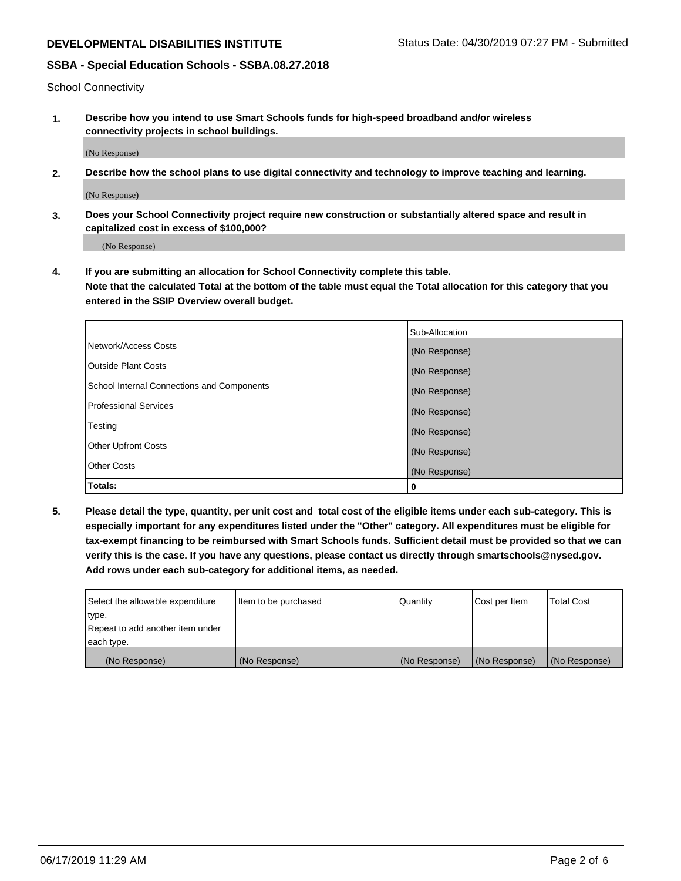School Connectivity

**1. Describe how you intend to use Smart Schools funds for high-speed broadband and/or wireless connectivity projects in school buildings.**

(No Response)

**2. Describe how the school plans to use digital connectivity and technology to improve teaching and learning.**

(No Response)

**3. Does your School Connectivity project require new construction or substantially altered space and result in capitalized cost in excess of \$100,000?**

(No Response)

**4. If you are submitting an allocation for School Connectivity complete this table. Note that the calculated Total at the bottom of the table must equal the Total allocation for this category that you entered in the SSIP Overview overall budget.** 

|                                            | Sub-Allocation |
|--------------------------------------------|----------------|
| Network/Access Costs                       | (No Response)  |
| Outside Plant Costs                        | (No Response)  |
| School Internal Connections and Components | (No Response)  |
| <b>Professional Services</b>               | (No Response)  |
| Testing                                    | (No Response)  |
| Other Upfront Costs                        | (No Response)  |
| <b>Other Costs</b>                         | (No Response)  |
| Totals:                                    | 0              |

**5. Please detail the type, quantity, per unit cost and total cost of the eligible items under each sub-category. This is especially important for any expenditures listed under the "Other" category. All expenditures must be eligible for tax-exempt financing to be reimbursed with Smart Schools funds. Sufficient detail must be provided so that we can verify this is the case. If you have any questions, please contact us directly through smartschools@nysed.gov. Add rows under each sub-category for additional items, as needed.**

| each type.<br>(No Response)      | (No Response)          | (No Response) | (No Response) | (No Response)     |
|----------------------------------|------------------------|---------------|---------------|-------------------|
|                                  |                        |               |               |                   |
| Repeat to add another item under |                        |               |               |                   |
| ∣type.                           |                        |               |               |                   |
| Select the allowable expenditure | I Item to be purchased | Quantity      | Cost per Item | <b>Total Cost</b> |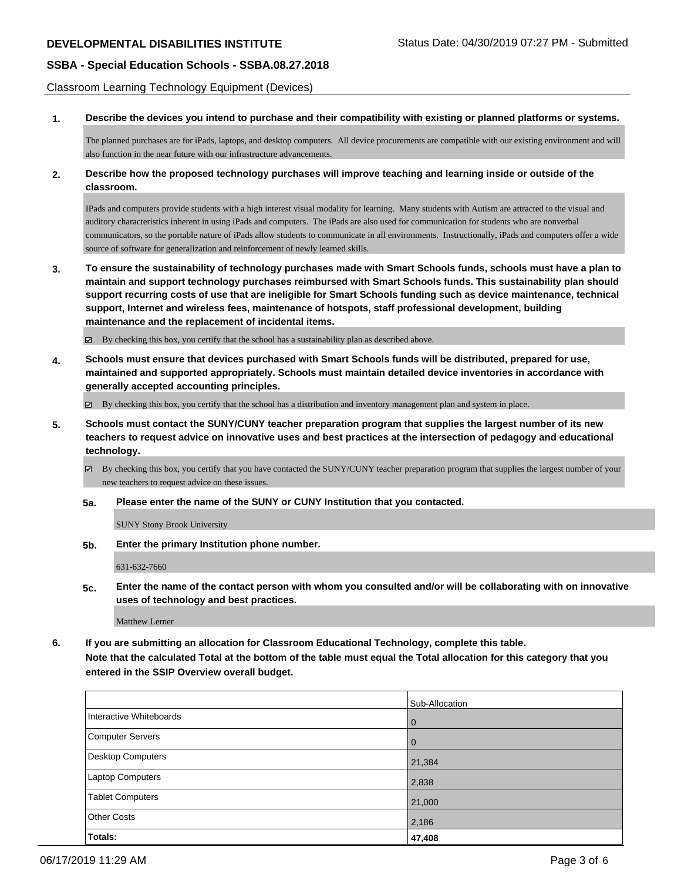Classroom Learning Technology Equipment (Devices)

**1. Describe the devices you intend to purchase and their compatibility with existing or planned platforms or systems.**

The planned purchases are for iPads, laptops, and desktop computers. All device procurements are compatible with our existing environment and will also function in the near future with our infrastructure advancements.

**2. Describe how the proposed technology purchases will improve teaching and learning inside or outside of the classroom.**

IPads and computers provide students with a high interest visual modality for learning. Many students with Autism are attracted to the visual and auditory characteristics inherent in using iPads and computers. The iPads are also used for communication for students who are nonverbal communicators, so the portable nature of iPads allow students to communicate in all environments. Instructionally, iPads and computers offer a wide source of software for generalization and reinforcement of newly learned skills.

**3. To ensure the sustainability of technology purchases made with Smart Schools funds, schools must have a plan to maintain and support technology purchases reimbursed with Smart Schools funds. This sustainability plan should support recurring costs of use that are ineligible for Smart Schools funding such as device maintenance, technical support, Internet and wireless fees, maintenance of hotspots, staff professional development, building maintenance and the replacement of incidental items.**

 $\boxtimes$  By checking this box, you certify that the school has a sustainability plan as described above.

**4. Schools must ensure that devices purchased with Smart Schools funds will be distributed, prepared for use, maintained and supported appropriately. Schools must maintain detailed device inventories in accordance with generally accepted accounting principles.**

By checking this box, you certify that the school has a distribution and inventory management plan and system in place.

**5. Schools must contact the SUNY/CUNY teacher preparation program that supplies the largest number of its new teachers to request advice on innovative uses and best practices at the intersection of pedagogy and educational technology.**

By checking this box, you certify that you have contacted the SUNY/CUNY teacher preparation program that supplies the largest number of your new teachers to request advice on these issues.

**5a. Please enter the name of the SUNY or CUNY Institution that you contacted.**

SUNY Stony Brook University

**5b. Enter the primary Institution phone number.**

631-632-7660

**5c. Enter the name of the contact person with whom you consulted and/or will be collaborating with on innovative uses of technology and best practices.**

Matthew Lerner

**6. If you are submitting an allocation for Classroom Educational Technology, complete this table. Note that the calculated Total at the bottom of the table must equal the Total allocation for this category that you entered in the SSIP Overview overall budget.**

|                         | Sub-Allocation |
|-------------------------|----------------|
| Interactive Whiteboards | $\overline{0}$ |
| Computer Servers        | $\overline{0}$ |
| Desktop Computers       | 21,384         |
| Laptop Computers        | 2,838          |
| <b>Tablet Computers</b> | 21,000         |
| <b>Other Costs</b>      | 2,186          |
| Totals:                 | 47,408         |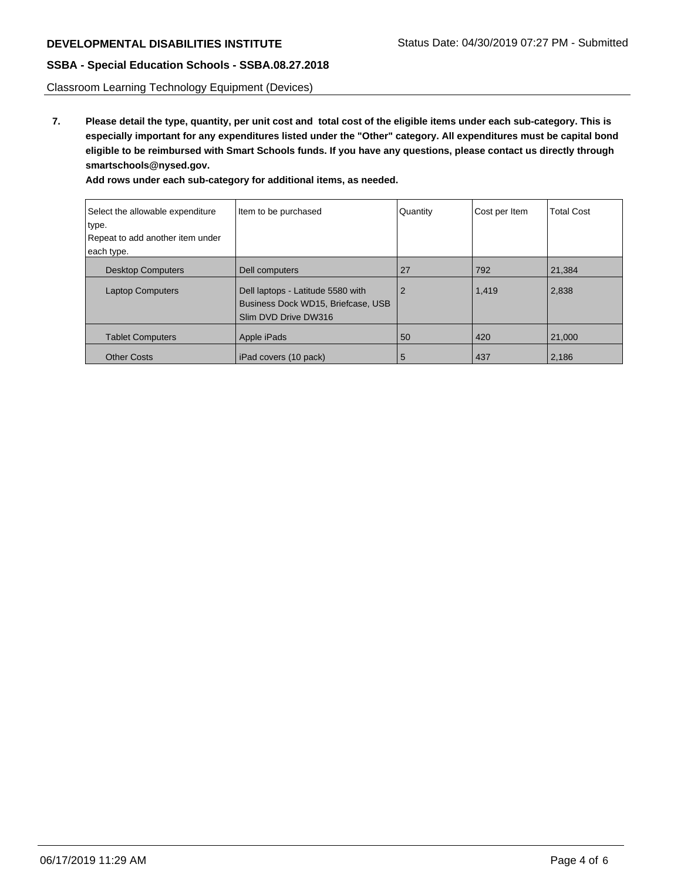Classroom Learning Technology Equipment (Devices)

**7. Please detail the type, quantity, per unit cost and total cost of the eligible items under each sub-category. This is especially important for any expenditures listed under the "Other" category. All expenditures must be capital bond eligible to be reimbursed with Smart Schools funds. If you have any questions, please contact us directly through smartschools@nysed.gov.**

| Select the allowable expenditure<br>type.<br>Repeat to add another item under<br>each type. | Item to be purchased                                                                            | Quantity       | Cost per Item | <b>Total Cost</b> |
|---------------------------------------------------------------------------------------------|-------------------------------------------------------------------------------------------------|----------------|---------------|-------------------|
| <b>Desktop Computers</b>                                                                    | Dell computers                                                                                  | 27             | 792           | 21,384            |
| <b>Laptop Computers</b>                                                                     | Dell laptops - Latitude 5580 with<br>Business Dock WD15, Briefcase, USB<br>Slim DVD Drive DW316 | $\overline{2}$ | 1,419         | 2,838             |
| <b>Tablet Computers</b>                                                                     | Apple iPads                                                                                     | 50             | 420           | 21,000            |
| <b>Other Costs</b>                                                                          | iPad covers (10 pack)                                                                           | 5              | 437           | 2,186             |

**Add rows under each sub-category for additional items, as needed.**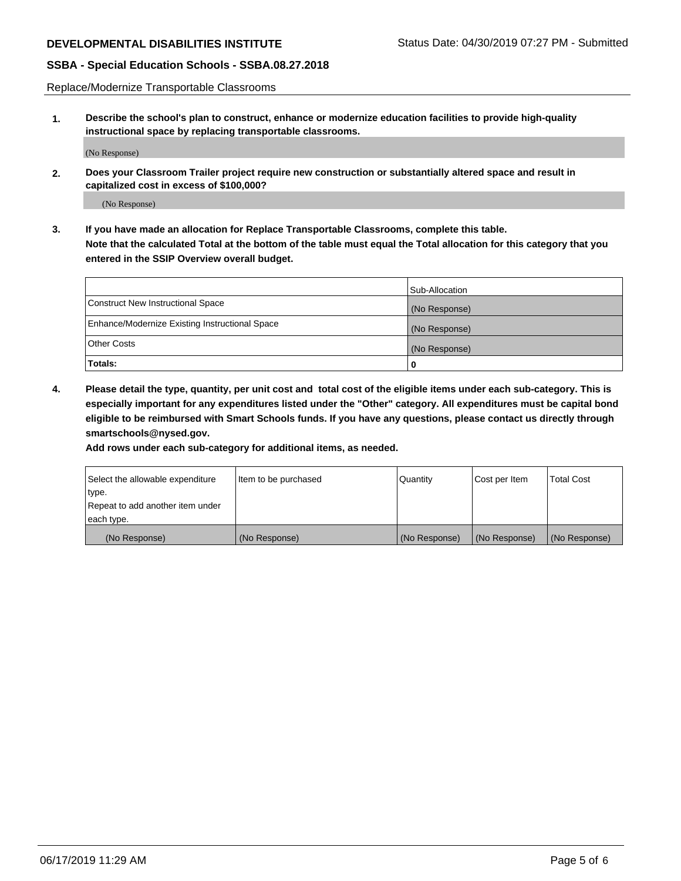Replace/Modernize Transportable Classrooms

**1. Describe the school's plan to construct, enhance or modernize education facilities to provide high-quality instructional space by replacing transportable classrooms.**

(No Response)

**2. Does your Classroom Trailer project require new construction or substantially altered space and result in capitalized cost in excess of \$100,000?**

(No Response)

**3. If you have made an allocation for Replace Transportable Classrooms, complete this table. Note that the calculated Total at the bottom of the table must equal the Total allocation for this category that you entered in the SSIP Overview overall budget.**

|                                                | Sub-Allocation |
|------------------------------------------------|----------------|
| Construct New Instructional Space              | (No Response)  |
| Enhance/Modernize Existing Instructional Space | (No Response)  |
| Other Costs                                    | (No Response)  |
| Totals:                                        | 0              |

**4. Please detail the type, quantity, per unit cost and total cost of the eligible items under each sub-category. This is especially important for any expenditures listed under the "Other" category. All expenditures must be capital bond eligible to be reimbursed with Smart Schools funds. If you have any questions, please contact us directly through smartschools@nysed.gov.**

**Add rows under each sub-category for additional items, as needed.**

| Select the allowable expenditure | Item to be purchased | Quantity      | Cost per Item | <b>Total Cost</b> |
|----------------------------------|----------------------|---------------|---------------|-------------------|
| 'type.                           |                      |               |               |                   |
| Repeat to add another item under |                      |               |               |                   |
| each type.                       |                      |               |               |                   |
| (No Response)                    | (No Response)        | (No Response) | (No Response) | (No Response)     |